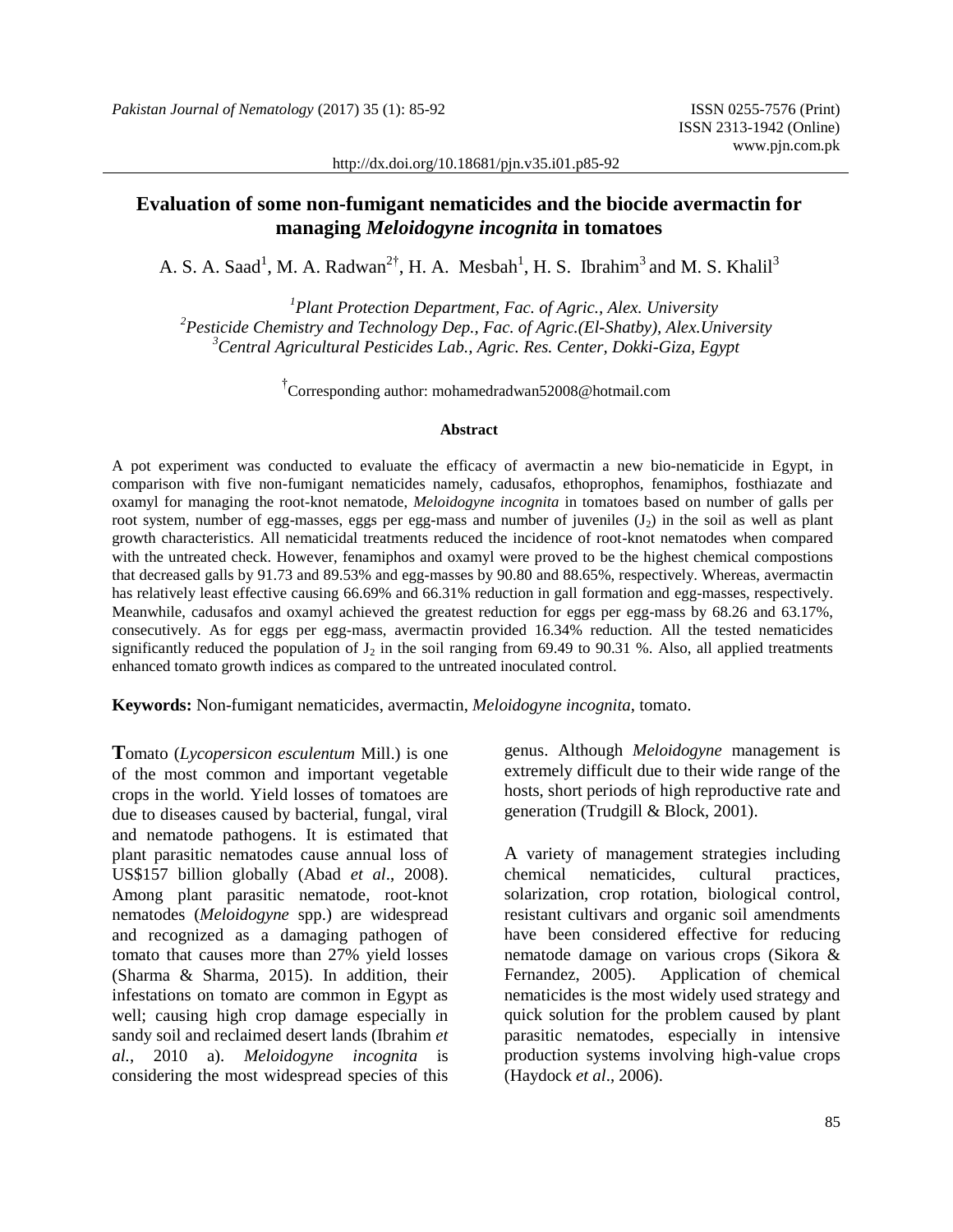http://dx.doi.org/10.18681/pjn.v35.i01.p85-92

# **Evaluation of some non-fumigant nematicides and the biocide avermactin for managing** *Meloidogyne incognita* **in tomatoes**

A. S. A. Saad<sup>1</sup>, M. A. Radwan<sup>2†</sup>, H. A. Mesbah<sup>1</sup>, H. S. Ibrahim<sup>3</sup> and M. S. Khalil<sup>3</sup>

*<sup>1</sup>Plant Protection Department, Fac. of Agric., Alex. University <sup>2</sup>Pesticide Chemistry and Technology Dep., Fac. of Agric.(El-Shatby), Alex.University <sup>3</sup>Central Agricultural Pesticides Lab., Agric. Res. Center, Dokki-Giza, Egypt*

† Corresponding author: mohamedradwan52008@hotmail.com

#### **Abstract**

A pot experiment was conducted to evaluate the efficacy of avermactin a new bio-nematicide in Egypt, in comparison with five non-fumigant nematicides namely, cadusafos, ethoprophos, fenamiphos, fosthiazate and oxamyl for managing the root-knot nematode, *Meloidogyne incognita* in tomatoes based on number of galls per root system, number of egg-masses, eggs per egg-mass and number of juveniles  $(J_2)$  in the soil as well as plant growth characteristics. All nematicidal treatments reduced the incidence of root-knot nematodes when compared with the untreated check. However, fenamiphos and oxamyl were proved to be the highest chemical compostions that decreased galls by 91.73 and 89.53% and egg-masses by 90.80 and 88.65%, respectively. Whereas, avermactin has relatively least effective causing 66.69% and 66.31% reduction in gall formation and egg-masses, respectively. Meanwhile, cadusafos and oxamyl achieved the greatest reduction for eggs per egg-mass by 68.26 and 63.17%, consecutively. As for eggs per egg-mass, avermactin provided 16.34% reduction. All the tested nematicides significantly reduced the population of  $J_2$  in the soil ranging from 69.49 to 90.31 %. Also, all applied treatments enhanced tomato growth indices as compared to the untreated inoculated control.

**Keywords:** Non-fumigant nematicides, avermactin, *Meloidogyne incognita*, tomato.

**T**omato (*Lycopersicon esculentum* Mill.) is one of the most common and important vegetable crops in the world. Yield losses of tomatoes are due to diseases caused by bacterial, fungal, viral and nematode pathogens. It is estimated that plant parasitic nematodes cause annual loss of US\$157 billion globally (Abad *et al*[., 2008\)](http://scialert.net/fulltext/?doi=jps.2015.234.243#1427514_ja). Among plant parasitic nematode, root-knot nematodes (*Meloidogyne* spp.) are widespread and recognized as a damaging pathogen of tomato that causes more than 27% yield losses [\(Sharma](http://scialert.net/fulltext/?doi=jps.2015.234.243#134329_b) & Sharma, 2015). In addition, their infestations on tomato are common in Egypt as well; causing high crop damage especially in sandy soil and reclaimed desert lands (Ibrahim *et al.*, 2010 a). *Meloidogyne incognita* is considering the most widespread species of this

genus. Although *Meloidogyne* management is extremely difficult due to their wide range of the hosts, short periods of high reproductive rate and generation (Trudgill & Block, 2001).

A variety of management strategies including chemical nematicides, cultural practices, solarization, crop rotation, biological control, resistant cultivars and organic soil amendments have been considered effective for reducing nematode damage on various crops (Sikora & Fernandez, 2005). Application of chemical nematicides is the most widely used strategy and quick solution for the problem caused by plant parasitic nematodes, especially in intensive production systems involving high-value crops (Haydock *et al*., 2006).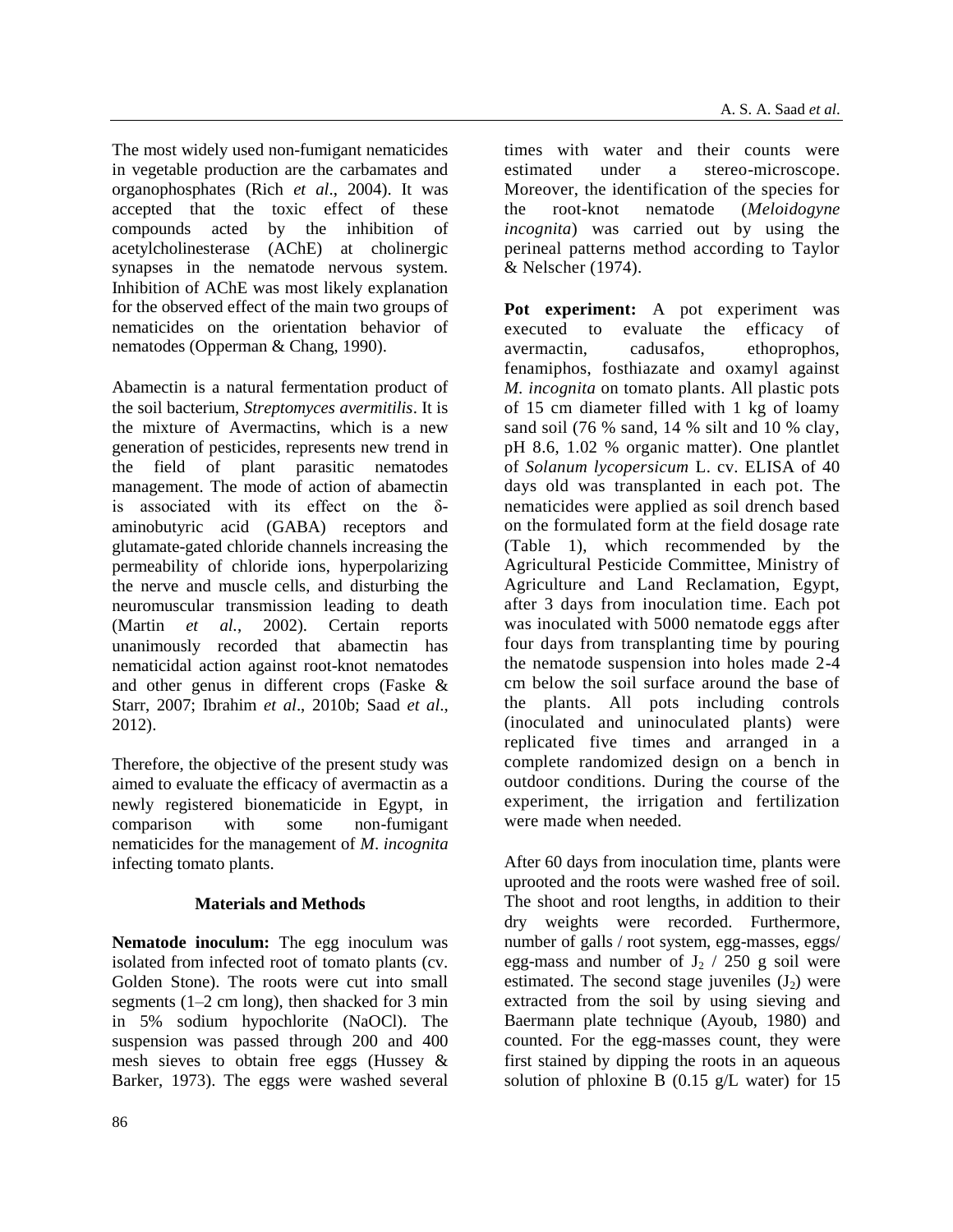The most widely used non-fumigant nematicides in vegetable production are the carbamates and organophosphates (Rich *et al*., 2004). It was accepted that the toxic effect of these compounds acted by the inhibition of acetylcholinesterase (AChE) at cholinergic synapses in the nematode nervous system. Inhibition of AChE was most likely explanation for the observed effect of the main two groups of nematicides on the orientation behavior of nematodes (Opperman & Chang, 1990).

Abamectin is a natural fermentation product of the soil bacterium, *Streptomyces avermitilis*. It is the mixture of Avermactins, which is a new generation of pesticides, represents new trend in the field of plant parasitic nematodes management. The mode of action of abamectin is associated with its effect on the δaminobutyric acid (GABA) receptors and glutamate-gated chloride channels increasing the permeability of chloride ions, hyperpolarizing the nerve and muscle cells, and disturbing the neuromuscular transmission leading to death (Martin *et al.*, 2002). Certain reports unanimously recorded that abamectin has nematicidal action against root-knot nematodes and other genus in different crops (Faske & Starr, 2007; Ibrahim *et al*., 2010b; Saad *et al*., 2012).

Therefore, the objective of the present study was aimed to evaluate the efficacy of avermactin as a newly registered bionematicide in Egypt, in comparison with some non-fumigant nematicides for the management of *M*. *incognita*  infecting tomato plants.

## **Materials and Methods**

**Nematode inoculum:** The egg inoculum was isolated from infected root of tomato plants (cv. Golden Stone). The roots were cut into small segments (1–2 cm long), then shacked for 3 min in 5% sodium hypochlorite (NaOCl). The suspension was passed through 200 and 400 mesh sieves to obtain free eggs (Hussey & Barker, 1973). The eggs were washed several

times with water and their counts were estimated under a stereo-microscope. Moreover, the identification of the species for the root-knot nematode (*Meloidogyne incognita*) was carried out by using the perineal patterns method according to Taylor & Nelscher (1974).

**Pot experiment:** A pot experiment was executed to evaluate the efficacy of avermactin, cadusafos, ethoprophos, fenamiphos, fosthiazate and oxamyl against *M. incognita* on tomato plants. All plastic pots of 15 cm diameter filled with 1 kg of loamy sand soil (76 % sand, 14 % silt and 10 % clay, pH 8.6, 1.02 % organic matter). One plantlet of *Solanum lycopersicum* L. cv. ELISA of 40 days old was transplanted in each pot. The nematicides were applied as soil drench based on the formulated form at the field dosage rate (Table 1), which recommended by the Agricultural Pesticide Committee, Ministry of Agriculture and Land Reclamation, Egypt, after 3 days from inoculation time. Each pot was inoculated with 5000 nematode eggs after four days from transplanting time by pouring the nematode suspension into holes made 2-4 cm below the soil surface around the base of the plants. All pots including controls (inoculated and uninoculated plants) were replicated five times and arranged in a complete randomized design on a bench in outdoor conditions. During the course of the experiment, the irrigation and fertilization were made when needed.

After 60 days from inoculation time, plants were uprooted and the roots were washed free of soil. The shoot and root lengths, in addition to their dry weights were recorded. Furthermore, number of galls / root system, egg-masses, eggs/ egg-mass and number of  $J_2 / 250$  g soil were estimated. The second stage juveniles  $(J_2)$  were extracted from the soil by using sieving and Baermann plate technique (Ayoub, 1980) and counted. For the egg-masses count, they were first stained by dipping the roots in an aqueous solution of phloxine B  $(0.15 \text{ g/L} \text{ water})$  for 15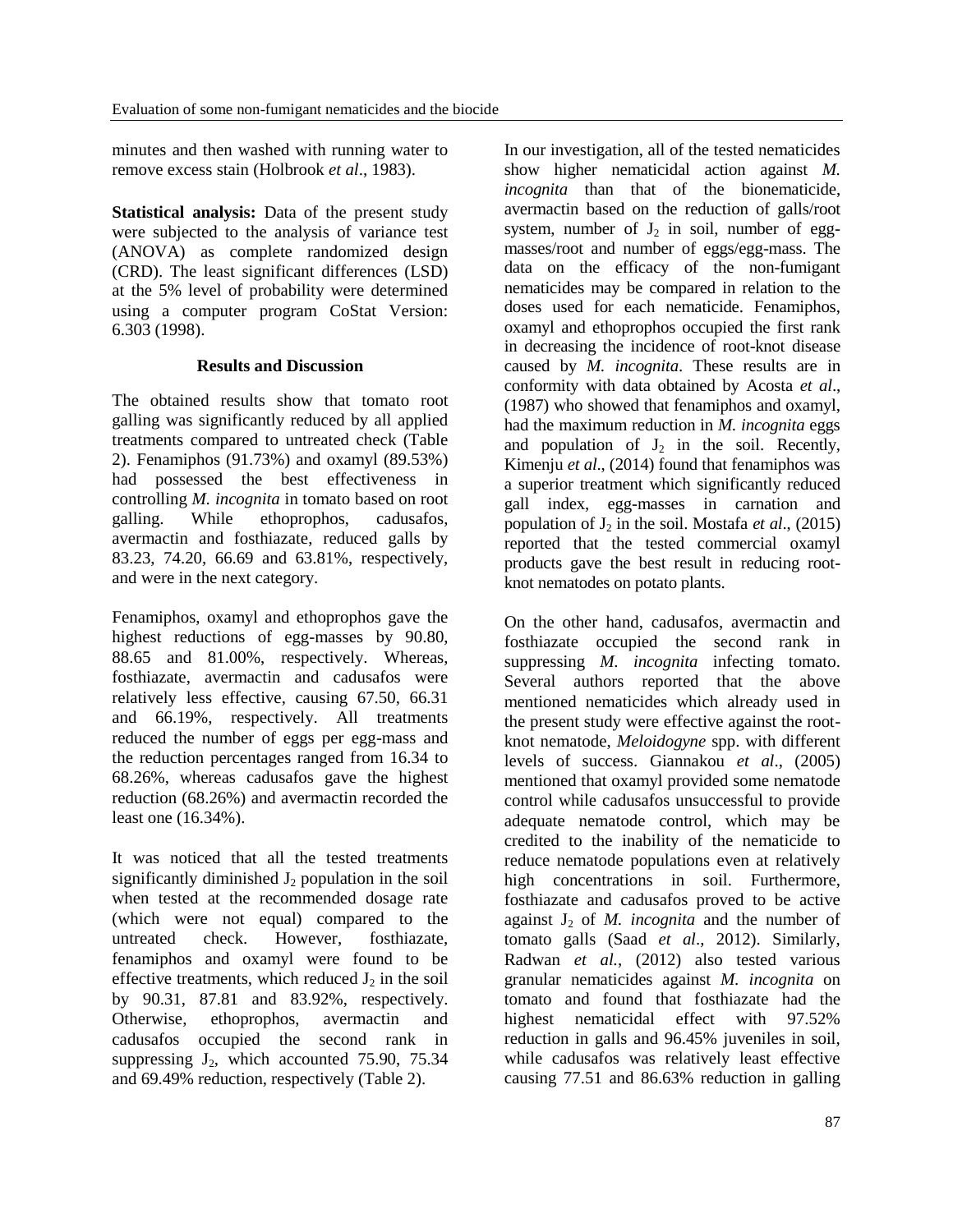minutes and then washed with running water to remove excess stain (Holbrook *et al*., 1983).

**Statistical analysis:** Data of the present study were subjected to the analysis of variance test (ANOVA) as complete randomized design (CRD). The least significant differences (LSD) at the 5% level of probability were determined using a computer program CoStat Version: 6.303 (1998).

## **Results and Discussion**

The obtained results show that tomato root galling was significantly reduced by all applied treatments compared to untreated check (Table 2). Fenamiphos (91.73%) and oxamyl (89.53%) had possessed the best effectiveness in controlling *M. incognita* in tomato based on root galling. While ethoprophos, cadusafos, avermactin and fosthiazate, reduced galls by 83.23, 74.20, 66.69 and 63.81%, respectively, and were in the next category.

Fenamiphos, oxamyl and ethoprophos gave the highest reductions of egg-masses by 90.80, 88.65 and 81.00%, respectively. Whereas, fosthiazate, avermactin and cadusafos were relatively less effective, causing 67.50, 66.31 and 66.19%, respectively. All treatments reduced the number of eggs per egg-mass and the reduction percentages ranged from 16.34 to 68.26%, whereas cadusafos gave the highest reduction (68.26%) and avermactin recorded the least one (16.34%).

It was noticed that all the tested treatments significantly diminished  $J_2$  population in the soil when tested at the recommended dosage rate (which were not equal) compared to the untreated check. However, fosthiazate, fenamiphos and oxamyl were found to be effective treatments, which reduced  $J_2$  in the soil by 90.31, 87.81 and 83.92%, respectively. Otherwise, ethoprophos, avermactin and cadusafos occupied the second rank in suppressing  $J_2$ , which accounted 75.90, 75.34 and 69.49% reduction, respectively (Table 2).

In our investigation, all of the tested nematicides show higher nematicidal action against *M. incognita* than that of the bionematicide, avermactin based on the reduction of galls/root system, number of  $J_2$  in soil, number of eggmasses/root and number of eggs/egg-mass. The data on the efficacy of the non-fumigant nematicides may be compared in relation to the doses used for each nematicide. Fenamiphos, oxamyl and ethoprophos occupied the first rank in decreasing the incidence of root-knot disease caused by *M. incognita*. These results are in conformity with data obtained by Acosta *et al*., (1987) who showed that fenamiphos and oxamyl, had the maximum reduction in *M. incognita* eggs and population of  $J_2$  in the soil. Recently, Kimenju *et al*., (2014) found that fenamiphos was a superior treatment which significantly reduced gall index, egg-masses in carnation and population of  $J_2$  in the soil. Mostafa *et al.*, (2015) reported that the tested commercial oxamyl products gave the best result in reducing rootknot nematodes on potato plants.

On the other hand, cadusafos, avermactin and fosthiazate occupied the second rank in suppressing *M. incognita* infecting tomato. Several authors reported that the above mentioned nematicides which already used in the present study were effective against the rootknot nematode, *Meloidogyne* spp. with different levels of success. Giannakou *et al*., (2005) mentioned that oxamyl provided some nematode control while cadusafos unsuccessful to provide adequate nematode control, which may be credited to the inability of the nematicide to reduce nematode populations even at relatively high concentrations in soil. Furthermore, fosthiazate and cadusafos proved to be active against  $J_2$  of *M. incognita* and the number of tomato galls (Saad *et al*., 2012). Similarly, Radwan *et al.*, (2012) also tested various granular nematicides against *M. incognita* on tomato and found that fosthiazate had the highest nematicidal effect with 97.52% reduction in galls and 96.45% juveniles in soil, while cadusafos was relatively least effective causing 77.51 and 86.63% reduction in galling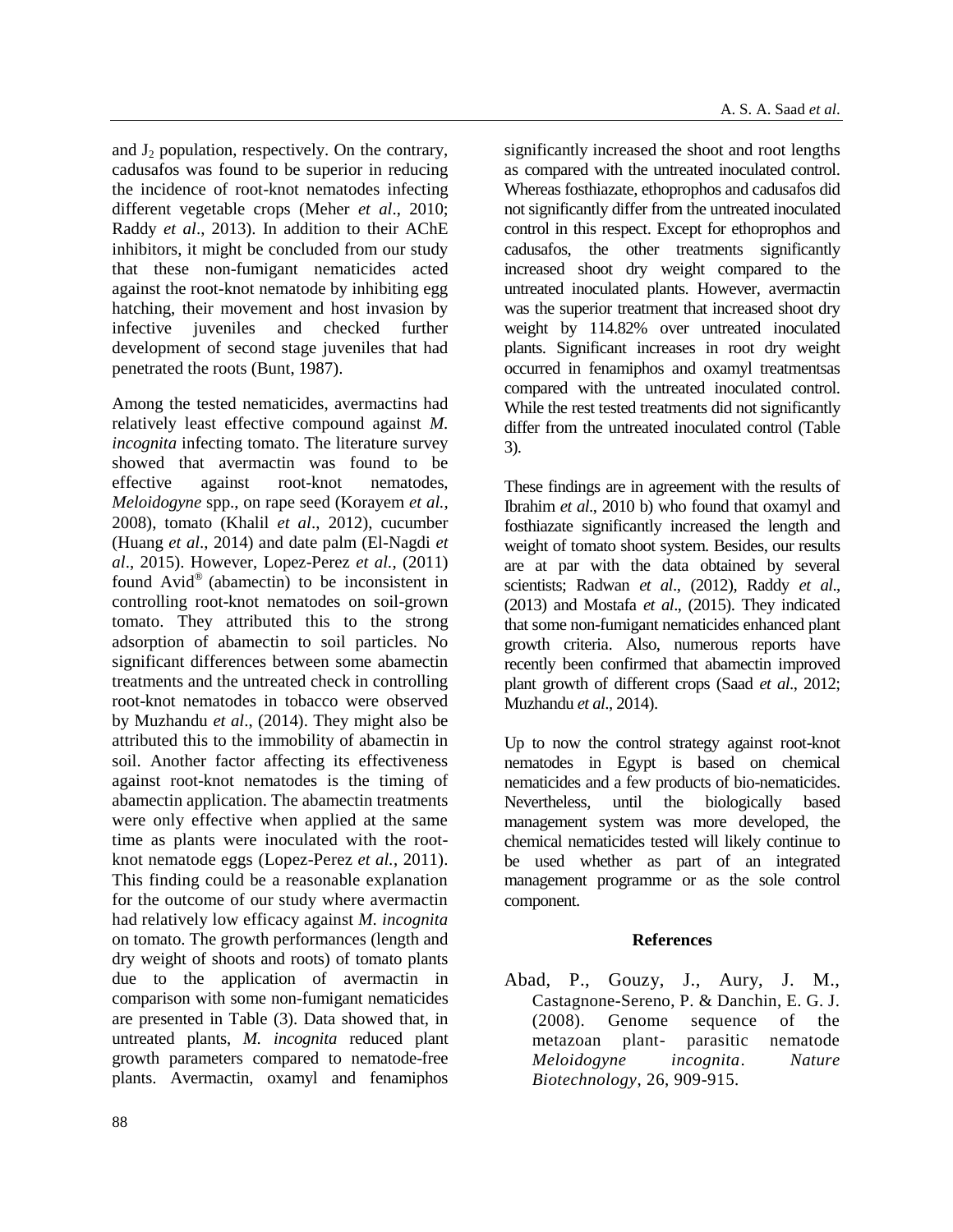and  $J_2$  population, respectively. On the contrary, cadusafos was found to be superior in reducing the incidence of root-knot nematodes infecting different vegetable crops (Meher *et al*., 2010; Raddy *et al*., 2013). In addition to their AChE inhibitors, it might be concluded from our study that these non-fumigant nematicides acted against the root-knot nematode by inhibiting egg hatching, their movement and host invasion by infective juveniles and checked further development of second stage juveniles that had penetrated the roots (Bunt, 1987).

Among the tested nematicides, avermactins had relatively least effective compound against *M. incognita* infecting tomato. The literature survey showed that avermactin was found to be effective against root-knot nematodes, *Meloidogyne* spp., on rape seed (Korayem *et al.*, 2008), tomato (Khalil *et al*., 2012), cucumber (Huang *et al*., 2014) and date palm (El-Nagdi *et al*., 2015). However, Lopez-Perez *et al.*, (2011) found Avid® (abamectin) to be inconsistent in controlling root-knot nematodes on soil-grown tomato. They attributed this to the strong adsorption of abamectin to soil particles. No significant differences between some abamectin treatments and the untreated check in controlling root-knot nematodes in tobacco were observed by Muzhandu *et al*., (2014). They might also be attributed this to the immobility of abamectin in soil. Another factor affecting its effectiveness against root-knot nematodes is the timing of abamectin application. The abamectin treatments were only effective when applied at the same time as plants were inoculated with the rootknot nematode eggs (Lopez-Perez *et al.*, 2011). This finding could be a reasonable explanation for the outcome of our study where avermactin had relatively low efficacy against *M. incognita* on tomato. The growth performances (length and dry weight of shoots and roots) of tomato plants due to the application of avermactin in comparison with some non-fumigant nematicides are presented in Table (3). Data showed that, in untreated plants, *M. incognita* reduced plant growth parameters compared to nematode-free plants. Avermactin, oxamyl and fenamiphos

significantly increased the shoot and root lengths as compared with the untreated inoculated control. Whereas fosthiazate, ethoprophos and cadusafos did not significantly differ from the untreated inoculated control in this respect. Except for ethoprophos and cadusafos, the other treatments significantly increased shoot dry weight compared to the untreated inoculated plants. However, avermactin was the superior treatment that increased shoot dry weight by 114.82% over untreated inoculated plants. Significant increases in root dry weight occurred in fenamiphos and oxamyl treatmentsas compared with the untreated inoculated control. While the rest tested treatments did not significantly differ from the untreated inoculated control (Table 3).

These findings are in agreement with the results of Ibrahim *et al*., 2010 b) who found that oxamyl and fosthiazate significantly increased the length and weight of tomato shoot system. Besides, our results are at par with the data obtained by several scientists; Radwan *et al*., (2012), Raddy *et al*., (2013) and Mostafa *et al*., (2015). They indicated that some non-fumigant nematicides enhanced plant growth criteria. Also, numerous reports have recently been confirmed that abamectin improved plant growth of different crops (Saad *et al*., 2012; Muzhandu *et al*., 2014).

Up to now the control strategy against root-knot nematodes in Egypt is based on chemical nematicides and a few products of bio-nematicides. Nevertheless, until the biologically based management system was more developed, the chemical nematicides tested will likely continue to be used whether as part of an integrated management programme or as the sole control component.

## **References**

Abad, P., Gouzy, J., Aury, J. M., Castagnone-Sereno, P. & Danchin, E. G. J. (2008). Genome sequence of the metazoan plant- parasitic nematode *Meloidogyne incognita*. *Nature Biotechnology*, 26, 909-915.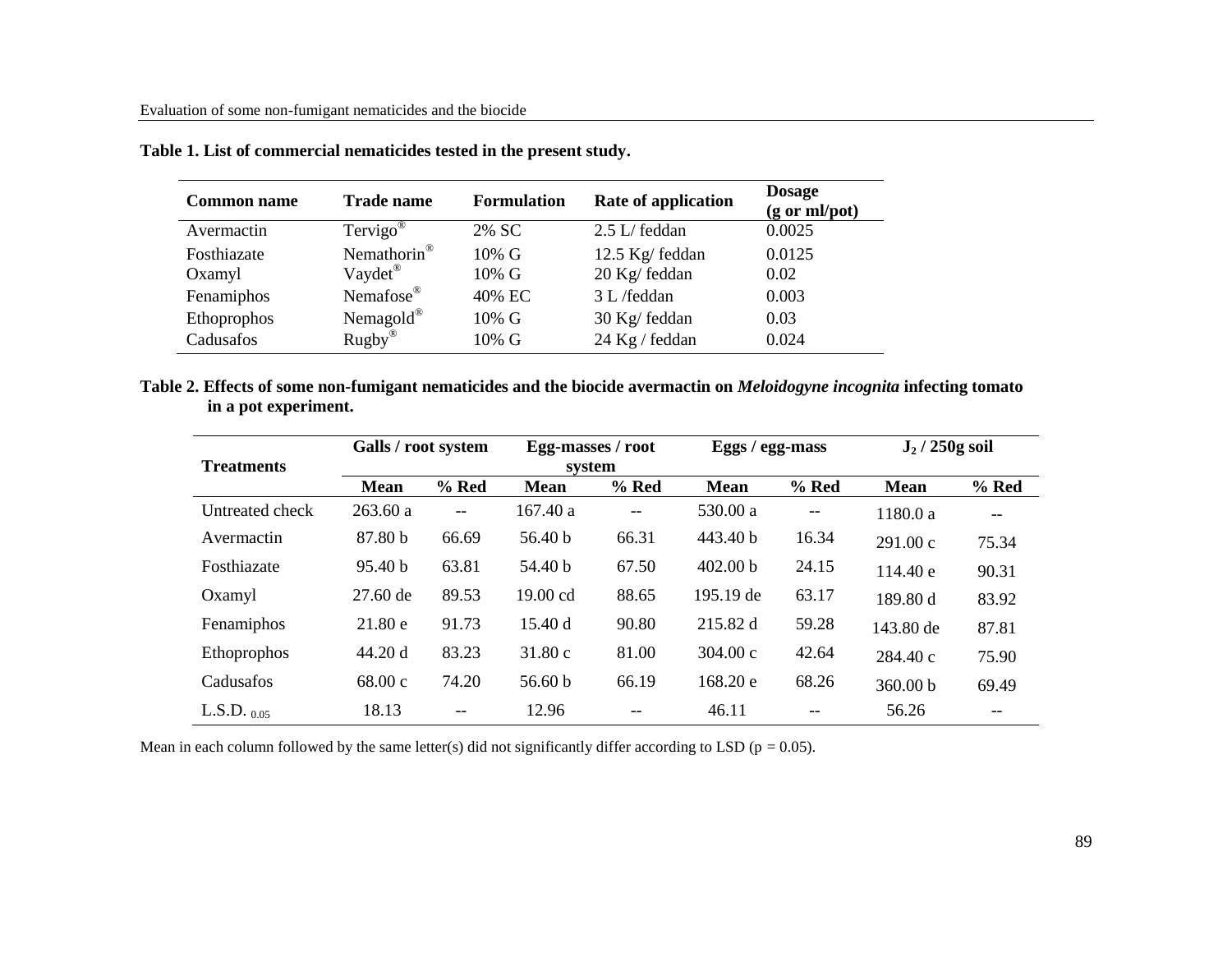| <b>Common name</b> | <b>Trade name</b>       | <b>Formulation</b> | <b>Rate of application</b> | <b>Dosage</b><br>$(g \text{ or } ml\text{/pot})$ |
|--------------------|-------------------------|--------------------|----------------------------|--------------------------------------------------|
| Avermactin         | Tervigo <sup>®</sup>    | 2% SC              | 2.5 L/ feddan              | 0.0025                                           |
| Fosthiazate        | Nemathorin <sup>®</sup> | $10\%$ G           | 12.5 Kg/ feddan            | 0.0125                                           |
| Oxamyl             | Vaydet <sup>®</sup>     | $10\%$ G           | 20 Kg/ feddan              | 0.02                                             |
| Fenamiphos         | Nemafose®               | 40% EC             | 3 L /feddan                | 0.003                                            |
| Ethoprophos        | Nemagold®               | $10\% \text{ G}$   | 30 Kg/ feddan              | 0.03                                             |
| Cadusafos          | $Rugby^@$               | $10\%$ G           | 24 Kg / feddan             | 0.024                                            |

|  |  | Table 1. List of commercial nematicides tested in the present study. |  |  |  |
|--|--|----------------------------------------------------------------------|--|--|--|
|  |  |                                                                      |  |  |  |

**Table 2. Effects of some non-fumigant nematicides and the biocide avermactin on** *Meloidogyne incognita* **infecting tomato in a pot experiment.**

| <b>Treatments</b> | Galls / root system |                          | Egg-masses / root<br>system |         | Eggs / egg-mass     |                          | $J_2/250g$ soil |                   |
|-------------------|---------------------|--------------------------|-----------------------------|---------|---------------------|--------------------------|-----------------|-------------------|
|                   | <b>Mean</b>         | $%$ Red                  | <b>Mean</b>                 | $%$ Red | <b>Mean</b>         | $%$ Red                  | <b>Mean</b>     | $%$ Red           |
| Untreated check   | 263.60a             | $\overline{\phantom{a}}$ | 167.40a                     | $-$     | 530.00 a            | $\overline{\phantom{m}}$ | 1180.0a         | $\qquad \qquad -$ |
| Avermactin        | 87.80 b             | 66.69                    | 56.40 <sub>b</sub>          | 66.31   | 443.40 b            | 16.34                    | 291.00c         | 75.34             |
| Fosthiazate       | 95.40 <sub>b</sub>  | 63.81                    | 54.40 b                     | 67.50   | 402.00 <sub>b</sub> | 24.15                    | 114.40 e        | 90.31             |
| Oxamyl            | $27.60$ de          | 89.53                    | $19.00 \text{ cd}$          | 88.65   | 195.19 de           | 63.17                    | 189.80 d        | 83.92             |
| Fenamiphos        | 21.80 e             | 91.73                    | 15.40 d                     | 90.80   | 215.82 d            | 59.28                    | 143.80 de       | 87.81             |
| Ethoprophos       | 44.20 d             | 83.23                    | 31.80c                      | 81.00   | $304.00 \text{ c}$  | 42.64                    | 284.40c         | 75.90             |
| Cadusafos         | 68.00c              | 74.20                    | 56.60 $b$                   | 66.19   | 168.20 e            | 68.26                    | 360.00 b        | 69.49             |
| L.S.D. $_{0.05}$  | 18.13               | --                       | 12.96                       |         | 46.11               |                          | 56.26           |                   |

Mean in each column followed by the same letter(s) did not significantly differ according to LSD ( $p = 0.05$ ).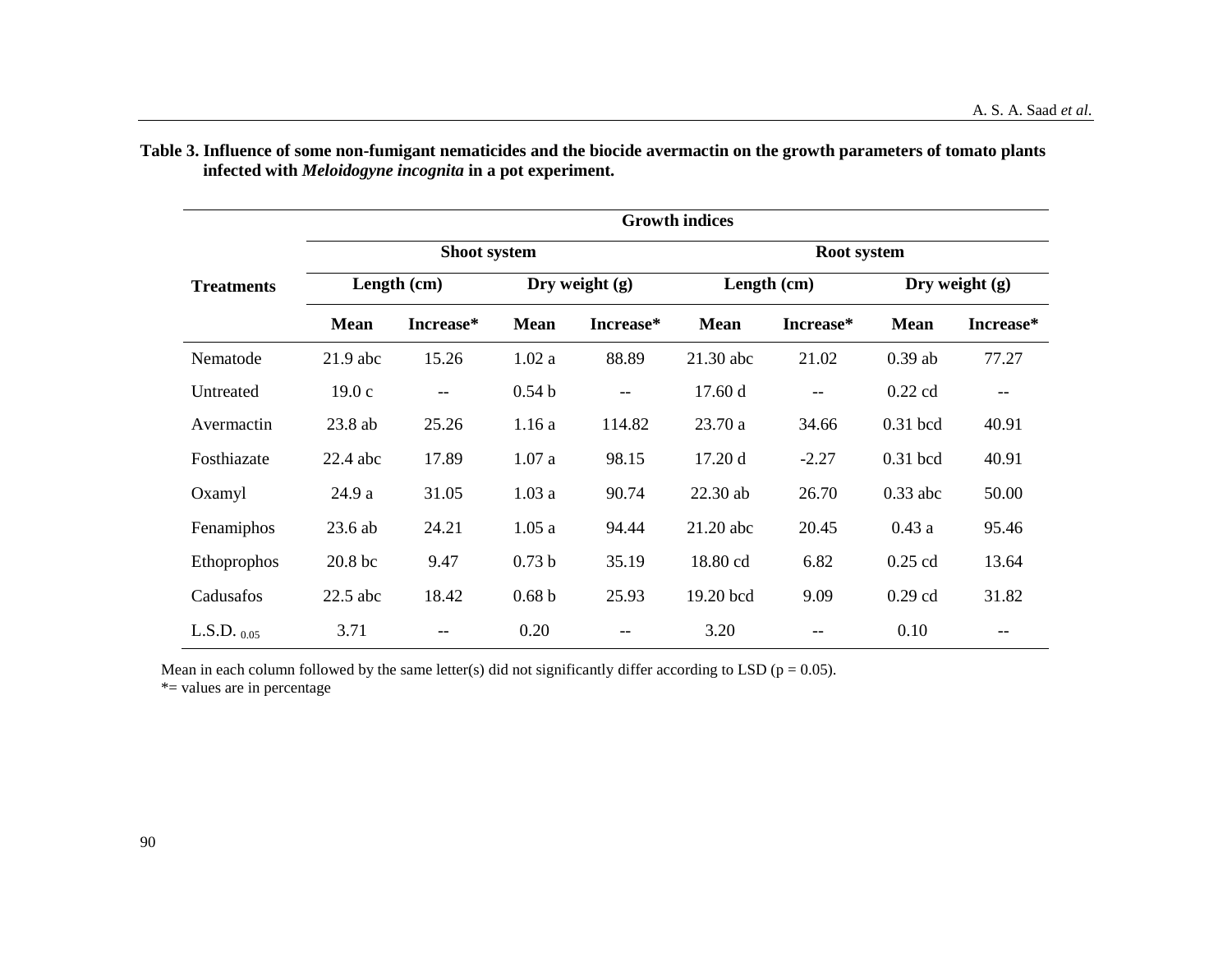|                   |             | <b>Growth indices</b>    |                   |                          |             |                   |                  |           |  |  |  |
|-------------------|-------------|--------------------------|-------------------|--------------------------|-------------|-------------------|------------------|-----------|--|--|--|
| <b>Treatments</b> |             | <b>Shoot system</b>      |                   |                          | Root system |                   |                  |           |  |  |  |
|                   |             | Length (cm)              | Dry weight $(g)$  |                          | Length (cm) |                   | Dry weight $(g)$ |           |  |  |  |
|                   | <b>Mean</b> | Increase*                | <b>Mean</b>       | Increase*                | <b>Mean</b> | Increase*         | <b>Mean</b>      | Increase* |  |  |  |
| Nematode          | $21.9$ abc  | 15.26                    | 1.02a             | 88.89                    | 21.30 abc   | 21.02             | $0.39$ ab        | 77.27     |  |  |  |
| Untreated         | 19.0c       | $\overline{\phantom{m}}$ | 0.54 <sub>b</sub> | $\overline{\phantom{a}}$ | 17.60d      | $\qquad \qquad -$ | $0.22$ cd        |           |  |  |  |
| Avermactin        | 23.8 ab     | 25.26                    | 1.16a             | 114.82                   | 23.70 a     | 34.66             | $0.31$ bcd       | 40.91     |  |  |  |
| Fosthiazate       | $22.4$ abc  | 17.89                    | 1.07a             | 98.15                    | 17.20d      | $-2.27$           | $0.31$ bcd       | 40.91     |  |  |  |
| Oxamyl            | 24.9 a      | 31.05                    | 1.03a             | 90.74                    | 22.30 ab    | 26.70             | $0.33$ abc       | 50.00     |  |  |  |
| Fenamiphos        | $23.6$ ab   | 24.21                    | 1.05a             | 94.44                    | 21.20 abc   | 20.45             | 0.43a            | 95.46     |  |  |  |
| Ethoprophos       | 20.8 bc     | 9.47                     | 0.73 <sub>b</sub> | 35.19                    | 18.80 cd    | 6.82              | $0.25$ cd        | 13.64     |  |  |  |
| Cadusafos         | $22.5$ abc  | 18.42                    | 0.68 <sub>b</sub> | 25.93                    | 19.20 bcd   | 9.09              | $0.29$ cd        | 31.82     |  |  |  |
| L.S.D. $_{0.05}$  | 3.71        | --                       | 0.20              |                          | 3.20        |                   | 0.10             |           |  |  |  |

**Table 3. Influence of some non-fumigant nematicides and the biocide avermactin on the growth parameters of tomato plants infected with** *Meloidogyne incognita* **in a pot experiment.**

Mean in each column followed by the same letter(s) did not significantly differ according to LSD ( $p = 0.05$ ).

\*= values are in percentage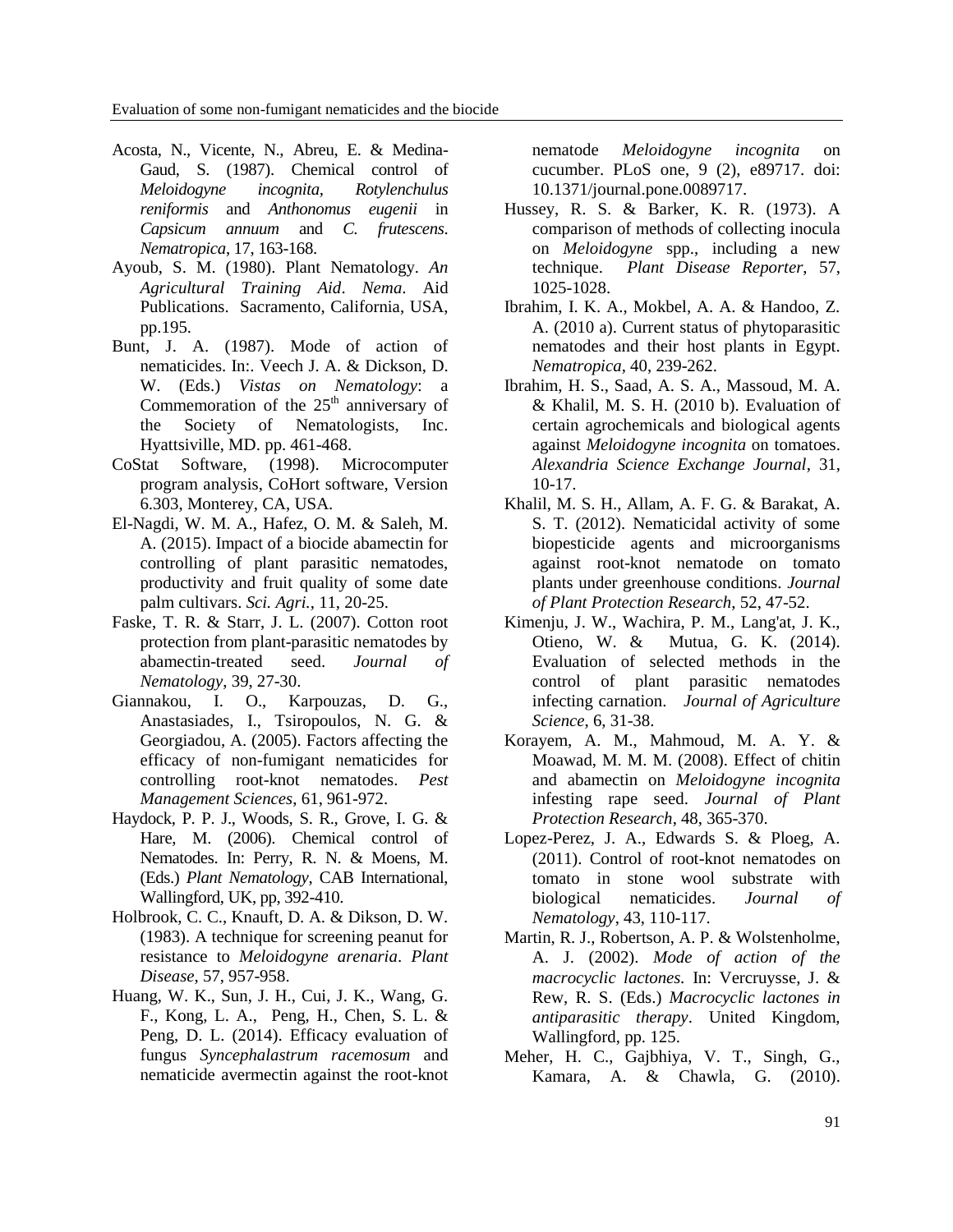- Acosta, N., Vicente, N., Abreu, E. & Medina-Gaud, S. (1987). Chemical control of *Meloidogyne incognita, Rotylenchulus reniformis* and *Anthonomus eugenii* in *Capsicum annuum* and *C. frutescens*. *Nematropica*, 17, 163-168.
- Ayoub, S. M. (1980). Plant Nematology. *An Agricultural Training Aid*. *Nema*. Aid Publications. Sacramento, California, USA, pp.195.
- Bunt, J. A. (1987). Mode of action of nematicides. In:. Veech J. A. & Dickson, D. W. (Eds.) *Vistas on Nematology*: a Commemoration of the  $25<sup>th</sup>$  anniversary of the Society of Nematologists, Inc. Hyattsiville, MD. pp. 461-468.
- CoStat Software, (1998). Microcomputer program analysis, CoHort software, Version 6.303, Monterey, CA, USA.
- El-Nagdi, W. M. A., Hafez, O. M. & Saleh, M. A. (2015). Impact of a biocide abamectin for controlling of plant parasitic nematodes, productivity and fruit quality of some date palm cultivars. *Sci. Agri.*, 11, 20-25.
- Faske, T. R. & Starr, J. L. (2007). Cotton root protection from plant-parasitic nematodes by abamectin-treated seed. *Journal of Nematology*, 39, 27-30.
- Giannakou, I. O., Karpouzas, D. G., Anastasiades, I., Tsiropoulos, N. G. & Georgiadou, A. (2005). Factors affecting the efficacy of non-fumigant nematicides for controlling root-knot nematodes. *Pest Management Sciences*, 61, 961-972.
- Haydock, P. P. J., Woods, S. R., Grove, I. G. & Hare, M. (2006). Chemical control of Nematodes. In: Perry, R. N. & Moens, M. (Eds.) *Plant Nematology*, CAB International, Wallingford, UK, pp, 392-410.
- Holbrook, C. C., Knauft, D. A. & Dikson, D. W. (1983). A technique for screening peanut for resistance to *Meloidogyne arenaria*. *Plant Disease*, 57, 957-958.
- Huang, W. K., Sun, J. H., Cui, J. K., Wang, G. F., Kong, L. A., Peng, H., Chen, S. L. & Peng, D. L. (2014). Efficacy evaluation of fungus *Syncephalastrum racemosum* and nematicide avermectin against the root-knot

nematode *Meloidogyne incognita* on cucumber. PLoS one, 9 (2), e89717. doi: 10.1371/journal.pone.0089717.

- Hussey, R. S. & Barker, K. R. (1973). A comparison of methods of collecting inocula on *Meloidogyne* spp., including a new technique. *Plant Disease Reporter*, 57, 1025-1028.
- Ibrahim, I. K. A., Mokbel, A. A. & Handoo, Z. A. (2010 a). Current status of phytoparasitic nematodes and their host plants in Egypt. *Nematropica*, 40, 239-262.
- Ibrahim, H. S., Saad, A. S. A., Massoud, M. A. & Khalil, M. S. H. (2010 b). Evaluation of certain agrochemicals and biological agents against *Meloidogyne incognita* on tomatoes. *Alexandria Science Exchange Journal*, 31, 10-17.
- Khalil, M. S. H., Allam, A. F. G. & Barakat, A. S. T. (2012). Nematicidal activity of some biopesticide agents and microorganisms against root-knot nematode on tomato plants under greenhouse conditions. *Journal of Plant Protection Research*, 52, 47-52.
- Kimenju, J. W., Wachira, P. M., Lang'at, J. K., Otieno, W. & Mutua, G. K. (2014). Evaluation of selected methods in the control of plant parasitic nematodes infecting carnation. *Journal of Agriculture Science*, 6, 31-38.
- Korayem, A. M., Mahmoud, M. A. Y. & Moawad, M. M. M. (2008). Effect of chitin and abamectin on *Meloidogyne incognita*  infesting rape seed. *Journal of Plant Protection Research*, 48, 365-370.
- Lopez-Perez, J. A., Edwards S. & Ploeg, A. (2011). Control of root-knot nematodes on tomato in stone wool substrate with biological nematicides. *Journal of Nematology*, 43, 110-117.
- Martin, R. J., Robertson, A. P. & Wolstenholme, A. J. (2002). *Mode of action of the macrocyclic lactones.* In: Vercruysse, J. & Rew, R. S. (Eds.) *Macrocyclic lactones in antiparasitic therapy*. United Kingdom, Wallingford, pp. 125.
- Meher, H. C., Gajbhiya, V. T., Singh, G., Kamara, A. & Chawla, G. (2010).